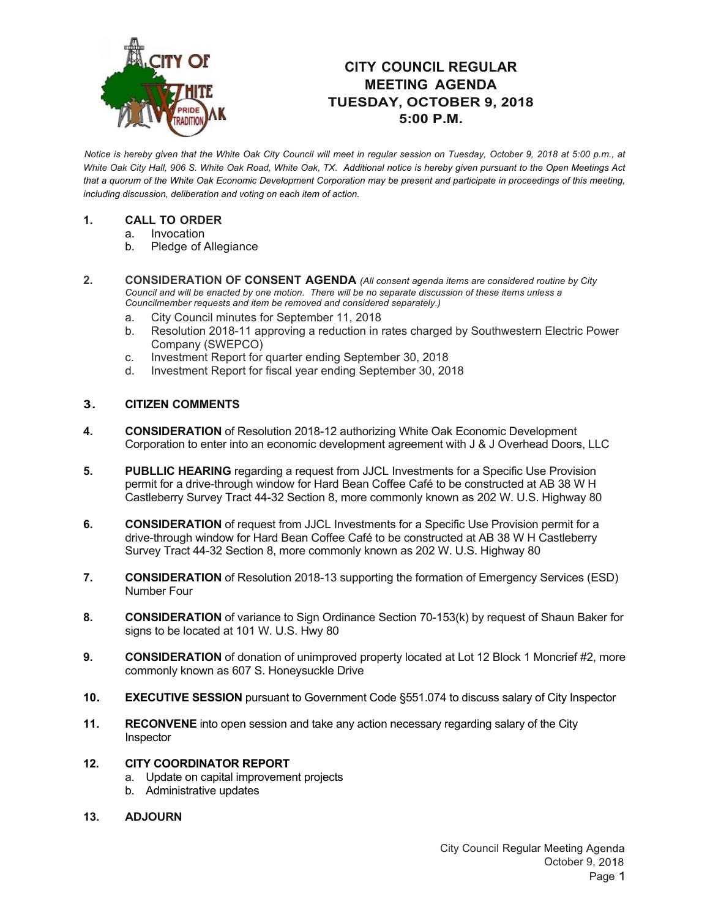

## **CITY COUNCIL REGULAR MEETING AGENDA TUESDAY, OCTOBER 9, 2018 5:00 P.M.**

*Notice is hereby given that the White Oak City Council will meet in regular session on Tuesday, October 9, 2018 at 5:00 p.m., at White Oak City Hall, 906 S. White Oak Road, White Oak, TX. Additional notice is hereby given pursuant to the Open Meetings Act that a quorum of the White Oak Economic Development Corporation may be present and participate in proceedings of this meeting, including discussion, deliberation and voting on each item of action.*

## **1. CALL TO ORDER**

- a. Invocation
- b. Pledge of Allegiance
- **2. CONSIDERATION OF CONSENT AGENDA** *(All consent agenda items are considered routine by City Council and will be enacted by one motion. There will be no separate discussion of these items unless a Councilmember requests and item be removed and considered separately.)*
	- a. City Council minutes for September 11, 2018
	- b. Resolution 2018-11 approving a reduction in rates charged by Southwestern Electric Power Company (SWEPCO)
	- c. Investment Report for quarter ending September 30, 2018
	- d. Investment Report for fiscal year ending September 30, 2018

## **3. CITIZEN COMMENTS**

- **4. CONSIDERATION** of Resolution 2018-12 authorizing White Oak Economic Development Corporation to enter into an economic development agreement with J & J Overhead Doors, LLC
- **5. PUBLLIC HEARING** regarding a request from JJCL Investments for a Specific Use Provision permit for a drive-through window for Hard Bean Coffee Café to be constructed at AB 38 W H Castleberry Survey Tract 44-32 Section 8, more commonly known as 202 W. U.S. Highway 80
- **6. CONSIDERATION** of request from JJCL Investments for a Specific Use Provision permit for a drive-through window for Hard Bean Coffee Café to be constructed at AB 38 W H Castleberry Survey Tract 44-32 Section 8, more commonly known as 202 W. U.S. Highway 80
- **7. CONSIDERATION** of Resolution 2018-13 supporting the formation of Emergency Services (ESD) Number Four
- **8. CONSIDERATION** of variance to Sign Ordinance Section 70-153(k) by request of Shaun Baker for signs to be located at 101 W. U.S. Hwy 80
- **9. CONSIDERATION** of donation of unimproved property located at Lot 12 Block 1 Moncrief #2, more commonly known as 607 S. Honeysuckle Drive
- **10. EXECUTIVE SESSION** pursuant to Government Code §551.074 to discuss salary of City Inspector
- **11. RECONVENE** into open session and take any action necessary regarding salary of the City Inspector
- **12. CITY COORDINATOR REPORT**
	- a. Update on capital improvement projects
	- b. Administrative updates
- **13. ADJOURN**